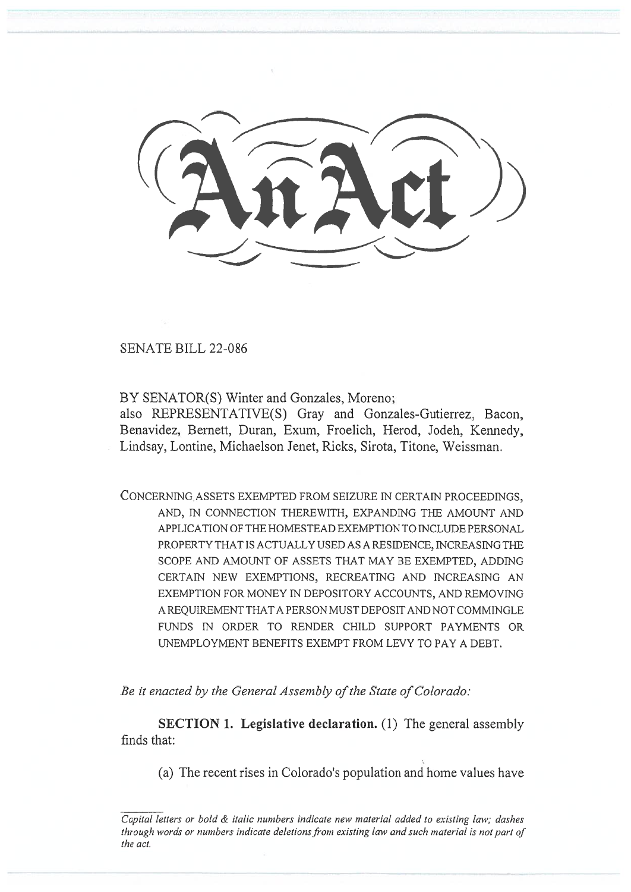SENATE BILL 22-086

BY SENATOR(S) Winter and Gonzales, Moreno;

also REPRESENTATIVE(S) Gray and Gonzales-Gutierrez, Bacon, Benavidez, Bernett, Duran, Exum, Froelich, Herod, Jodeh, Kennedy, Lindsay, Lontine, Michaelson Jenet, Ricks, Sirota, Titone, Weissman.

CONCERNING ASSETS EXEMPTED FROM SEIZURE IN CERTAIN PROCEEDINGS, AND, IN CONNECTION THEREWITH, EXPANDING THE AMOUNT AND APPLICATION OF THE HOMESTEAD EXEMPTION TO INCLUDE PERSONAL PROPERTY THAT IS ACTUALLY USED AS A RESIDENCE, INCREASING THE SCOPE AND AMOUNT OF ASSETS THAT MAY BE EXEMPTED, ADDING CERTAIN NEW EXEMPTIONS, RECREATING AND INCREASING AN EXEMPTION FOR MONEY IN DEPOSITORY ACCOUNTS, AND REMOVING A REQUIREMENT THAT A PERSON MUST DEPOSIT AND NOT COMMINGLE FUNDS IN ORDER TO RENDER CHILD SUPPORT PAYMENTS OR UNEMPLOYMENT BENEFITS EXEMPT FROM LEVY TO PAY A DEBT.

Be it enacted by the General Assembly of the State of Colorado:

SECTION 1. Legislative declaration. (1) The general assembly finds that:

(a) The recent rises in Colorado's population and home values have

Capital letters or bold & italic numbers indicate new material added to existing law; dashes through words or numbers indicate deletions from existing law and such material is not part of the act.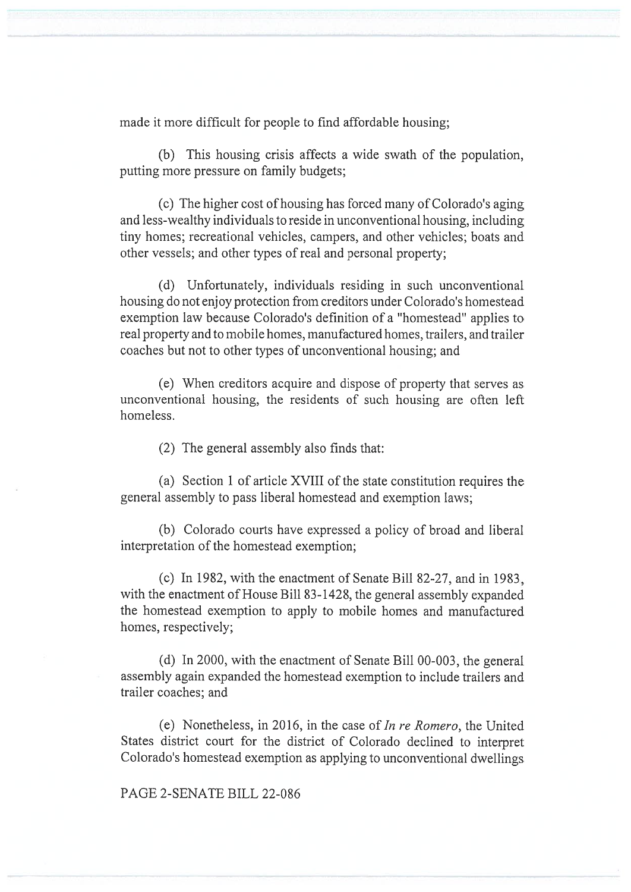made it more difficult for people to find affordable housing;

(b) This housing crisis affects a wide swath of the population, putting more pressure on family budgets;

(c) The higher cost of housing has forced many of Colorado's aging and less-wealthy individuals to reside in unconventional housing, including tiny homes; recreational vehicles, campers, and other vehicles; boats and other vessels; and other types of real and personal property;

(d) Unfortunately, individuals residing in such unconventional housing do not enjoy protection from creditors under Colorado's homestead exemption law because Colorado's definition of a "homestead" applies to real property and to mobile homes, manufactured homes, trailers, and trailer coaches but not to other types of unconventional housing; and

(e) When creditors acquire and dispose of property that serves as unconventional housing, the residents of such housing are often left homeless.

(2) The general assembly also finds that:

(a) Section 1 of article XVIII of the state constitution requires the general assembly to pass liberal homestead and exemption laws;

(b) Colorado courts have expressed a policy of broad and liberal interpretation of the homestead exemption;

(c) In 1982, with the enactment of Senate Bill 82-27, and in 1983, with the enactment of House Bill 83-1428, the general assembly expanded the homestead exemption to apply to mobile homes and manufactured homes, respectively;

(d) In 2000, with the enactment of Senate Bill 00-003, the general assembly again expanded the homestead exemption to include trailers and trailer coaches; and

(e) Nonetheless, in 2016, in the case of In re Romero, the United States district court for the district of Colorado declined to interpret Colorado's homestead exemption as applying to unconventional dwellings

PAGE 2-SENATE BILL 22-086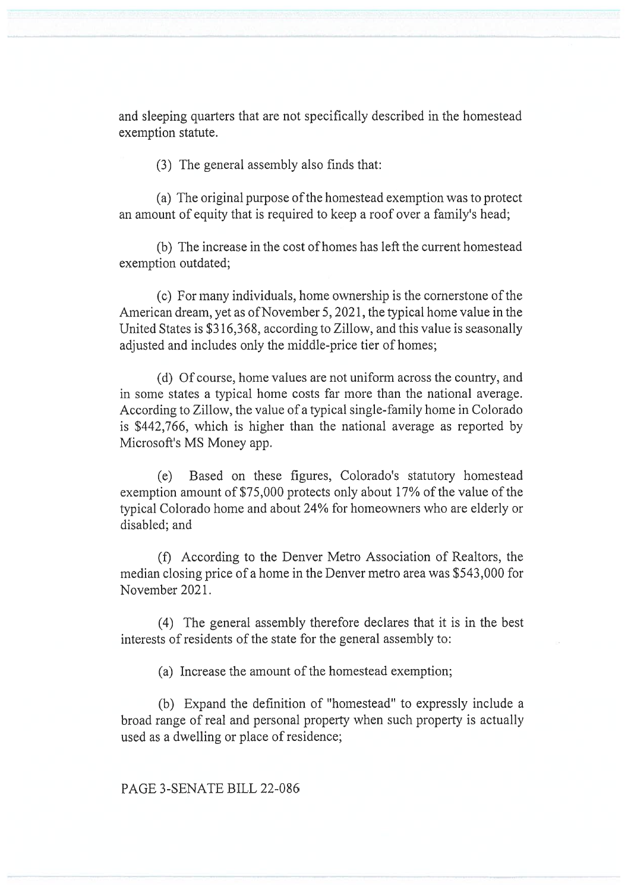and sleeping quarters that are not specifically described in the homestead exemption statute.

(3) The general assembly also finds that:

(a) The original purpose of the homestead exemption was to protect an amount of equity that is required to keep a roof over a family's head;

(b) The increase in the cost of homes has left the current homestead exemption outdated;

(c) For many individuals, home ownership is the cornerstone of the American dream, yet as of November 5, 2021, the typical home value in the United States is \$316,368, according to Zillow, and this value is seasonally adjusted and includes only the middle-price tier of homes;

(d) Of course, home values are not uniform across the country, and in some states a typical home costs far more than the national average. According to Zillow, the value of a typical single-family home in Colorado is \$442,766, which is higher than the national average as reported by Microsoft's MS Money app.

(e) Based on these figures, Colorado's statutory homestead exemption amount of \$75,000 protects only about 17% of the value of the typical Colorado home and about 24% for homeowners who are elderly or disabled; and

(f) According to the Denver Metro Association of Realtors, the median closing price of a home in the Denver metro area was \$543,000 for November 2021.

(4) The general assembly therefore declares that it is in the best interests of residents of the state for the general assembly to:

(a) Increase the amount of the homestead exemption;

(b) Expand the definition of "homestead" to expressly include a broad range of real and personal property when such property is actually used as a dwelling or place of residence;

PAGE 3-SENATE BILL 22-086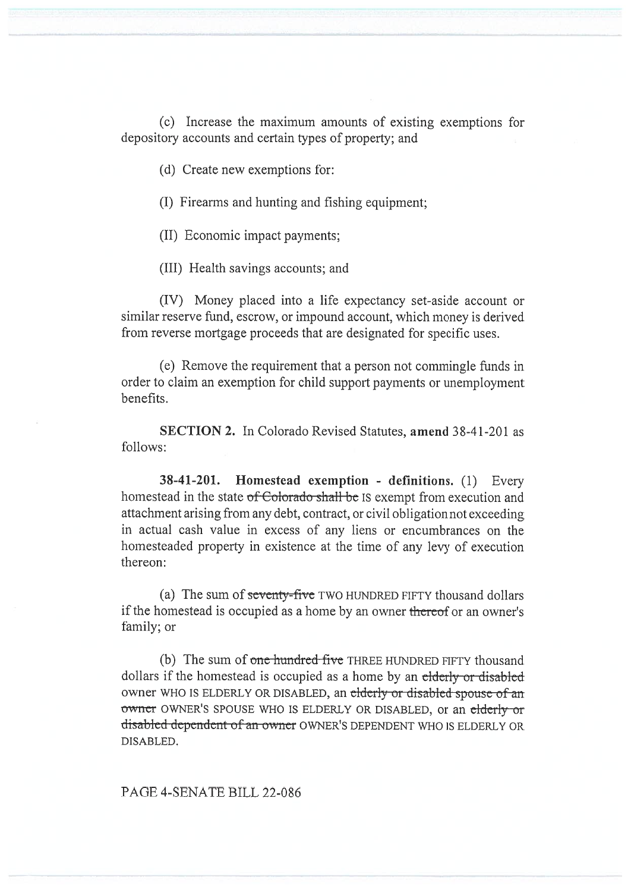(c) Increase the maximum amounts of existing exemptions for depository accounts and certain types of property; and

(d) Create new exemptions for:

(I) Firearms and hunting and fishing equipment;

(II) Economic impact payments;

(III) Health savings accounts; and

(IV) Money placed into a life expectancy set-aside account or similar reserve fund, escrow, or impound account, which money is derived from reverse mortgage proceeds that are designated for specific uses.

(e) Remove the requirement that a person not commingle funds in order to claim an exemption for child support payments or unemployment benefits.

SECTION 2. In Colorado Revised Statutes, amend 38-41-201 as follows:

38-41-201. Homestead exemption - definitions. (1) Every homestead in the state of Colorado shall be IS exempt from execution and attachment arising from any debt, contract, or civil obligation not exceeding in actual cash value in excess of any liens or encumbrances on the homesteaded property in existence at the time of any levy of execution thereon:

(a) The sum of seventy-five TWO HUNDRED FIFTY thousand dollars if the homestead is occupied as a home by an owner thereof or an owner's family; or

(b) The sum of one hundred-five THREE HUNDRED FIFTY thousand dollars if the homestead is occupied as a home by an elderly or disabled owner WHO IS ELDERLY OR DISABLED, an elderly or disabled spouse of an owner OWNER'S SPOUSE WHO IS ELDERLY OR DISABLED, or an elderly or disabled dependent of an owner OWNER'S DEPENDENT WHO IS ELDERLY OR DISABLED.

PAGE 4-SENATE BILL 22-086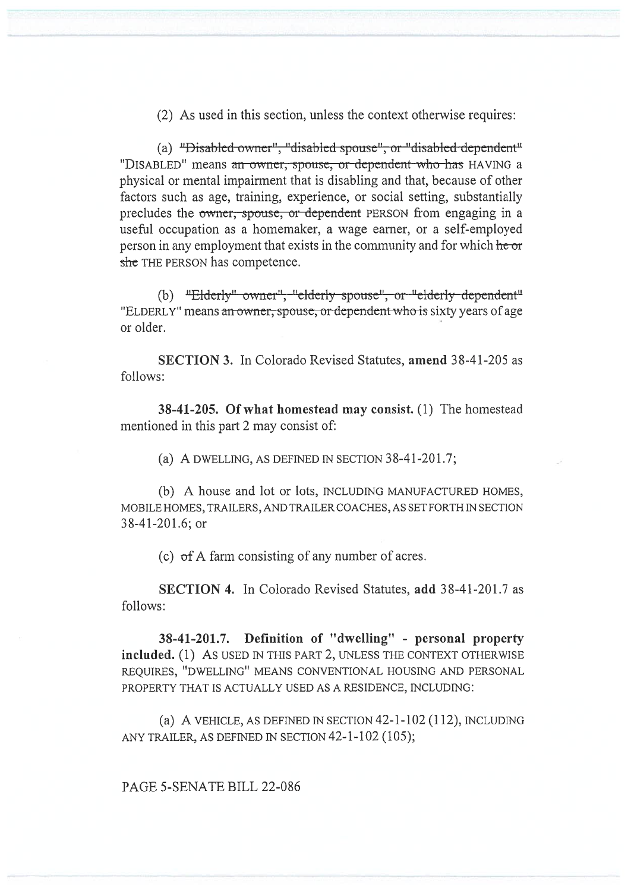(2) As used in this section, unless the context otherwise requires:

(a) "Disabled owner", "disabled spouse", or "disabled dependent" "DISABLED" means an owner, spouse, or dependent who has HAVING a physical or mental impairment that is disabling and that, because of other factors such as age, training, experience, or social setting, substantially precludes the owner, spouse, or dependent PERSON from engaging in a useful occupation as a homemaker, a wage earner, or a self-employed person in any employment that exists in the community and for which he or she THE PERSON has competence.

(b) "Elderly" owner", "elderly spouse", or "elderly dependent" "ELDERLY" means an owner, spouse, or dependent who is sixty years of age or older.

SECTION 3. In Colorado Revised Statutes, amend 38-41-205 as follows:

38-41-205. Of what homestead may consist. (1) The homestead mentioned in this part 2 may consist of:

(a) A DWELLING, AS DEFINED IN SECTION 38-41-201.7;

(b) A house and lot or lots, INCLUDING MANUFACTURED HOMES, MOBILE HOMES, TRAILERS, AND TRAILER COACHES, AS SET FORTH IN SECTION 38-41-201.6; or

(c) of A farm consisting of any number of acres.

SECTION 4. In Colorado Revised Statutes, add 38-41-201.7 as follows:

38-41-201.7. Definition of "dwelling" - personal property included. (1) As USED IN THIS PART 2, UNLESS THE CONTEXT OTHERWISE REQUIRES, "DWELLING" MEANS CONVENTIONAL HOUSING AND PERSONAL PROPERTY THAT IS ACTUALLY USED AS A RESIDENCE, INCLUDING:

(a) A VEHICLE, AS DEFINED IN SECTION 42-1-102 (112), INCLUDING ANY TRAILER, AS DEFINED IN SECTION 42-1-102 (105);

PAGE 5-SENATE BILL 22-086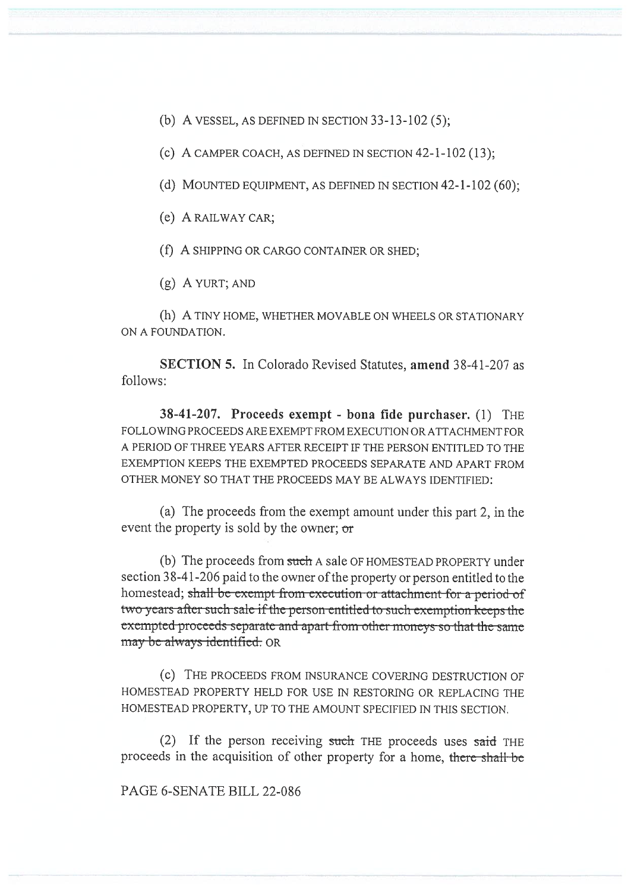(b) A VESSEL, AS DEFINED IN SECTION  $33-13-102(5)$ ;

(c) A CAMPER COACH, AS DEFINED IN SECTION  $42-1-102(13)$ ;

(d) MOUNTED EQUIPMENT, AS DEFINED IN SECTION 42-1-102 (60);

(e) A RAILWAY CAR;

(f) A SHIPPING OR CARGO CONTAINER OR SHED;

(g) A YURT; AND

(h) A TINY HOME, WHETHER MOVABLE ON WHEELS OR STATIONARY ON A FOUNDATION.

SECTION 5. In Colorado Revised Statutes, amend 38-41-207 as follows:

38-41-207. Proceeds exempt - bona fide purchaser. (1) THE FOLLOWING PROCEEDS ARE EXEMPT FROM EXECUTION OR ATTACHMENT FOR A PERIOD OF THREE YEARS AFTER RECEIPT IF THE PERSON ENTITLED TO THE EXEMPTION KEEPS THE EXEMPTED PROCEEDS SEPARATE AND APART FROM OTHER MONEY SO THAT THE PROCEEDS MAY BE ALWAYS IDENTIFIED:

(a) The proceeds from the exempt amount under this part 2, in the event the property is sold by the owner; or

(b) The proceeds from such A sale OF HOMESTEAD PROPERTY under section 38-41-206 paid to the owner of the property or person entitled to the homestead; shall-be-exempt from execution or attachment for a period of two-years after such sale if the person-entitled to such exemption keeps the exempted-proceeds-separate and apart-from-other-moneys-so-that-the-same may be always identified. OR

(c) THE PROCEEDS FROM INSURANCE COVERING DESTRUCTION OF HOMESTEAD PROPERTY HELD FOR USE IN RESTORING OR REPLACING THE HOMESTEAD PROPERTY, UP TO THE AMOUNT SPECIFIED IN THIS SECTION.

(2) If the person receiving such THE proceeds uses said THE proceeds in the acquisition of other property for a home, there shall be

PAGE 6-SENATE BILL 22-086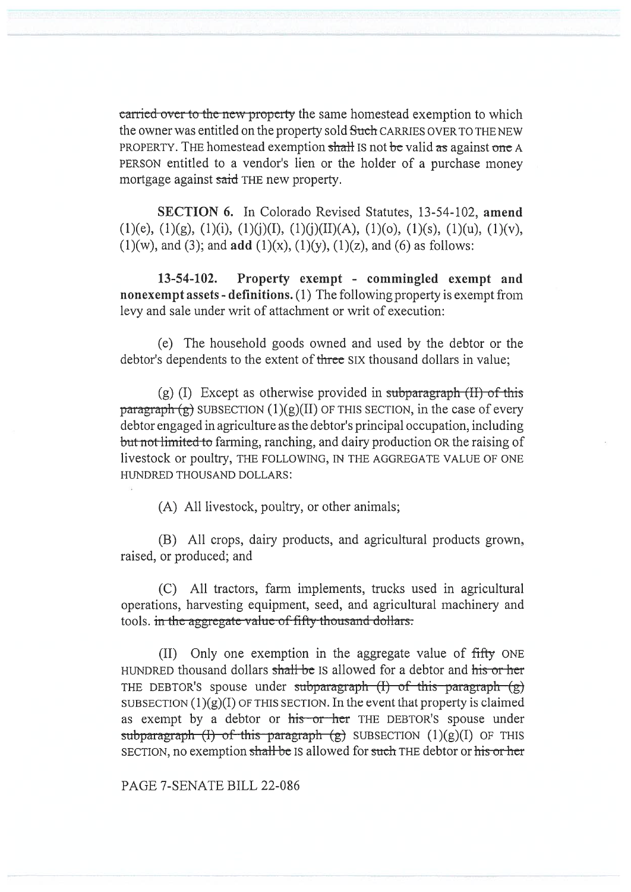carried-over to the new property the same homestead exemption to which the owner was entitled on the property sold Such CARRIES OVER TO THE NEW PROPERTY. THE homestead exemption shall IS not be valid as against one A PERSON entitled to a vendor's lien or the holder of a purchase money mortgage against said THE new property.

SECTION 6. In Colorado Revised Statutes, 13-54-102, amend  $(1)(e)$ ,  $(1)(g)$ ,  $(1)(i)$ ,  $(1)(i)(I)$ ,  $(1)(j)(II)(A)$ ,  $(1)(o)$ ,  $(1)(s)$ ,  $(1)(u)$ ,  $(1)(v)$ ,  $(1)(w)$ , and  $(3)$ ; and  $add (1)(x)$ ,  $(1)(y)$ ,  $(1)(z)$ , and  $(6)$  as follows:

13-54-102. Property exempt - commingled exempt and nonexempt assets - definitions. (1) The following property is exempt from levy and sale under writ of attachment or writ of execution:

(e) The household goods owned and used by the debtor or the debtor's dependents to the extent of three SIX thousand dollars in value;

(g) (I) Except as otherwise provided in subparagraph  $(H)$  of this  $\frac{\text{parameter}}{\text{g}}$  SUBSECTION (1)(g)(II) OF THIS SECTION, in the case of every debtor engaged in agriculture as the debtor's principal occupation, including but not limited to farming, ranching, and dairy production OR the raising of livestock or poultry, THE FOLLOWING, IN THE AGGREGATE VALUE OF ONE HUNDRED THOUSAND DOLLARS:

(A) All livestock, poultry, or other animals;

(B) All crops, dairy products, and agricultural products grown, raised, or produced; and

(C) All tractors, farm implements, trucks used in agricultural operations, harvesting equipment, seed, and agricultural machinery and tools. in the aggregate value of fifty thousand dollars:

(II) Only one exemption in the aggregate value of fifty ONE HUNDRED thousand dollars shall be IS allowed for a debtor and his or her THE DEBTOR's spouse under subparagraph  $(I)$  of this paragraph  $(g)$ SUBSECTION  $(1)(g)(I)$  OF THIS SECTION. In the event that property is claimed as exempt by a debtor or his or her THE DEBTOR's spouse under subparagraph (I) of this paragraph  $(g)$  SUBSECTION  $(1)(g)(I)$  OF THIS SECTION, no exemption shall be IS allowed for such THE debtor or his or her

PAGE 7-SENATE BILL 22-086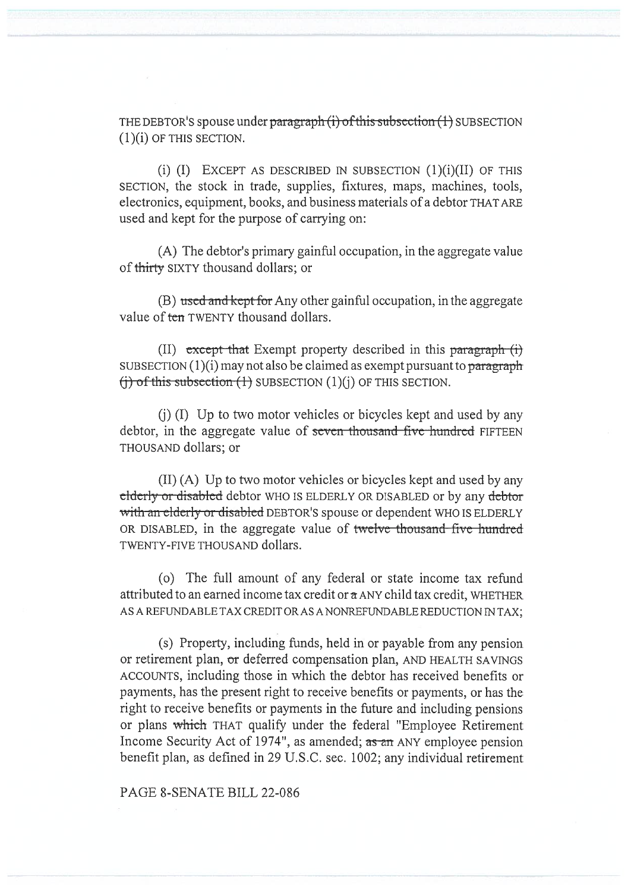THE DEBTOR'S spouse under paragraph  $(i)$  of this subsection  $(1)$  SUBSECTION (1)(i) OF THIS SECTION.

(i)  $(I)$  EXCEPT AS DESCRIBED IN SUBSECTION  $(1)(i)(II)$  OF THIS SECTION, the stock in trade, supplies, fixtures, maps, machines, tools, electronics, equipment, books, and business materials of a debtor THAT ARE used and kept for the purpose of carrying on:

(A) The debtor's primary gainful occupation, in the aggregate value of thirty SIXTY thousand dollars; or

(B) used and kept for Any other gainful occupation, in the aggregate value of ten TWENTY thousand dollars.

(II) except that Exempt property described in this paragraph  $(i)$ SUBSECTION  $(1)(i)$  may not also be claimed as exempt pursuant to paragraph  $(i)$  of this subsection  $(1)$  SUBSECTION  $(1)(i)$  OF THIS SECTION.

(j) (I) Up to two motor vehicles or bicycles kept and used by any debtor, in the aggregate value of seven thousand five-hundred FIFTEEN THOUSAND dollars; or

(II) (A) Up to two motor vehicles or bicycles kept and used by any elderly or disabled debtor WHO IS ELDERLY OR DISABLED or by any debtor with an elderly or disabled DEBTOR'S spouse or dependent WHO IS ELDERLY OR DISABLED, in the aggregate value of twelve thousand five hundred TWENTY-FIVE THOUSAND dollars.

(o) The full amount of any federal or state income tax refund attributed to an earned income tax credit or  $\alpha$  ANY child tax credit, WHETHER AS A REFUNDABLE TAX CREDIT OR AS A NONREFUNDABLE REDUCTION IN TAX;

(s) Property, including funds, held in or payable from any pension or retirement plan, or deferred compensation plan, AND HEALTH SAVINGS ACCOUNTS, including those in which the debtor has received benefits or payments, has the present right to receive benefits or payments, or has the right to receive benefits or payments in the future and including pensions or plans which THAT qualify under the federal "Employee Retirement Income Security Act of 1974", as amended; as an ANY employee pension benefit plan, as defined in 29 U.S.C. sec. 1002; any individual retirement

PAGE 8-SENATE BILL 22-086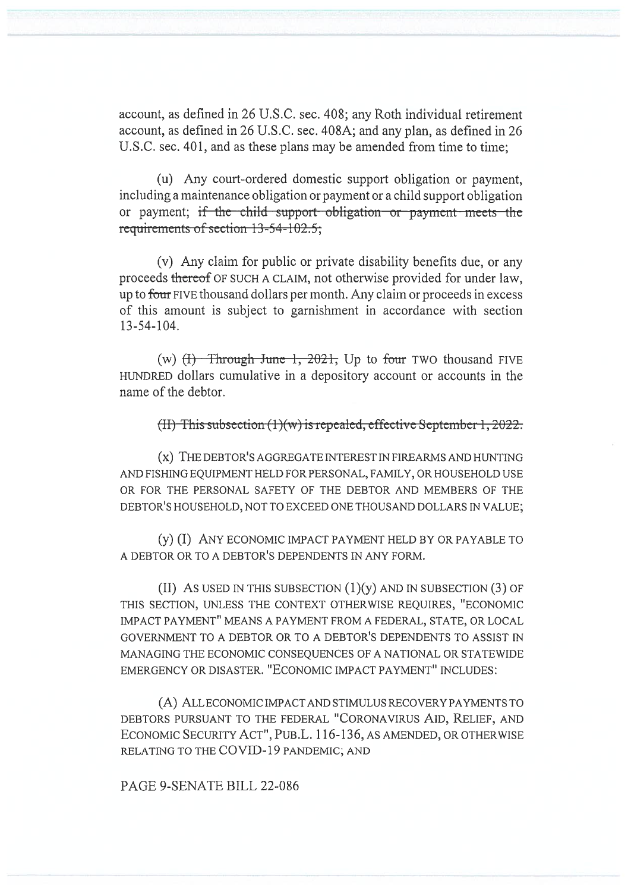account, as defined in 26 U.S.C. sec. 408; any Roth individual retirement account, as defined in 26 U.S.C. sec. 408A; and any plan, as defined in 26 U.S.C. sec. 401, and as these plans may be amended from time to time;

(u) Any court-ordered domestic support obligation or payment, including a maintenance obligation or payment or a child support obligation or payment; if the child support obligation or payment meets the requirements of section  $13-54-102.5$ ;

(v) Any claim for public or private disability benefits due, or any proceeds thereof OF SUCH A CLAIM, not otherwise provided for under law, up to four FIVE thousand dollars per month. Any claim or proceeds in excess of this amount is subject to garnishment in accordance with section 13-54-104.

(w)  $(H)$  Through June 1, 2021, Up to four TWO thousand FIVE HUNDRED dollars cumulative in a depository account or accounts in the name of the debtor.

## (II) This subsection  $(1)(w)$  is repealed, effective September 1, 2022.

(x) THE DEBTOR'S AGGREGATE INTEREST IN FIREARMS AND HUNTING AND FISHING EQUIPMENT HELD FOR PERSONAL, FAMILY, OR HOUSEHOLD USE OR FOR THE PERSONAL SAFETY OF THE DEBTOR AND MEMBERS OF THE DEBTOR'S HOUSEHOLD, NOT TO EXCEED ONE THOUSAND DOLLARS IN VALUE;

(y) (I) ANY ECONOMIC IMPACT PAYMENT HELD BY OR PAYABLE TO A DEBTOR OR TO A DEBTOR'S DEPENDENTS IN ANY FORM.

(II) As used in this subsection  $(1)(y)$  and in subsection  $(3)$  of THIS SECTION, UNLESS THE CONTEXT OTHERWISE REQUIRES, "ECONOMIC IMPACT PAYMENT" MEANS A PAYMENT FROM A FEDERAL, STATE, OR LOCAL GOVERNMENT TO A DEBTOR OR TO A DEBTOR'S DEPENDENTS TO ASSIST IN MANAGING THE ECONOMIC CONSEQUENCES OF A NATIONAL OR STATEWIDE EMERGENCY OR DISASTER. "ECONOMIC IMPACT PAYMENT" INCLUDES:

(A) ALL ECONOMIC IMPACT AND STIMULUS RECOVERY PAYMENTS TO DEBTORS PURSUANT TO THE FEDERAL "CORONAVIRUS AID, RELIEF, AND ECONOMIC SECURITY ACT", PUB.L. 116-136, AS AMENDED, OR OTHERWISE RELATING TO THE COVID-19 PANDEMIC; AND

PAGE 9-SENATE BILL 22-086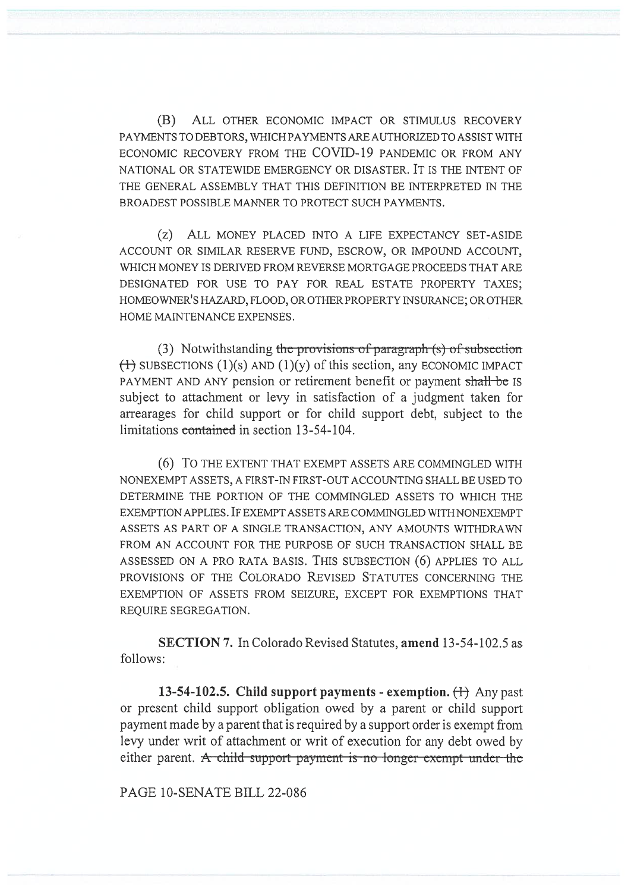(B) ALL OTHER ECONOMIC IMPACT OR STIMULUS RECOVERY PAYMENTS TO DEBTORS, WHICH PAYMENTS ARE AUTHORIZED TO ASSIST WITH ECONOMIC RECOVERY FROM THE COVID-19 PANDEMIC OR FROM ANY NATIONAL OR STATEWIDE EMERGENCY OR DISASTER. IT IS THE INTENT OF THE GENERAL ASSEMBLY THAT THIS DEFINITION BE INTERPRETED IN THE BROADEST POSSIBLE MANNER TO PROTECT SUCH PAYMENTS.

(z) ALL MONEY PLACED INTO A LIFE EXPECTANCY SET-ASIDE ACCOUNT OR SIMILAR RESERVE FUND, ESCROW, OR IMPOUND ACCOUNT, WHICH MONEY IS DERIVED FROM REVERSE MORTGAGE PROCEEDS THAT ARE DESIGNATED FOR USE TO PAY FOR REAL ESTATE PROPERTY TAXES; HOMEOWNER'S HAZARD, FLOOD, OR OTHER PROPERTY INSURANCE; OR OTHER HOME MAINTENANCE EXPENSES.

(3) Notwithstanding the provisions of paragraph  $(s)$  of subsection  $(1)(s)$  AND  $(1)(y)$  of this section, any ECONOMIC IMPACT PAYMENT AND ANY pension or retirement benefit or payment shall be IS subject to attachment or levy in satisfaction of a judgment taken for arrearages for child support or for child support debt, subject to the limitations containcd in section 13-54-104.

(6) To THE EXTENT THAT EXEMPT ASSETS ARE COMMINGLED WITH NONEXEMPT ASSETS, A FIRST-IN FIRST-OUT ACCOUNTING SHALL BE USED TO DETERMINE THE PORTION OF THE COMMINGLED ASSETS TO WHICH THE EXEMPTION APPLIES. IF EXEMPT ASSETS ARE COMMINGLED WITH NONEXEMPT ASSETS AS PART OF A SINGLE TRANSACTION, ANY AMOUNTS WITHDRAWN FROM AN ACCOUNT FOR THE PURPOSE OF SUCH TRANSACTION SHALL BE ASSESSED ON A PRO RATA BASIS. THIS SUBSECTION (6) APPLIES TO ALL PROVISIONS OF THE COLORADO REVISED STATUTES CONCERNING THE EXEMPTION OF ASSETS FROM SEIZURE, EXCEPT FOR EXEMPTIONS THAT REQUIRE SEGREGATION.

SECTION 7. In Colorado Revised Statutes, amend 13-54-102.5 as follows:

13-54-102.5. Child support payments - exemption.  $\leftrightarrow$  Any past or present child support obligation owed by a parent or child support payment made by a parent that is required by a support order is exempt from levy under writ of attachment or writ of execution for any debt owed by either parent. A child support payment is no longer exempt under the

PAGE 10-SENATE BILL 22-086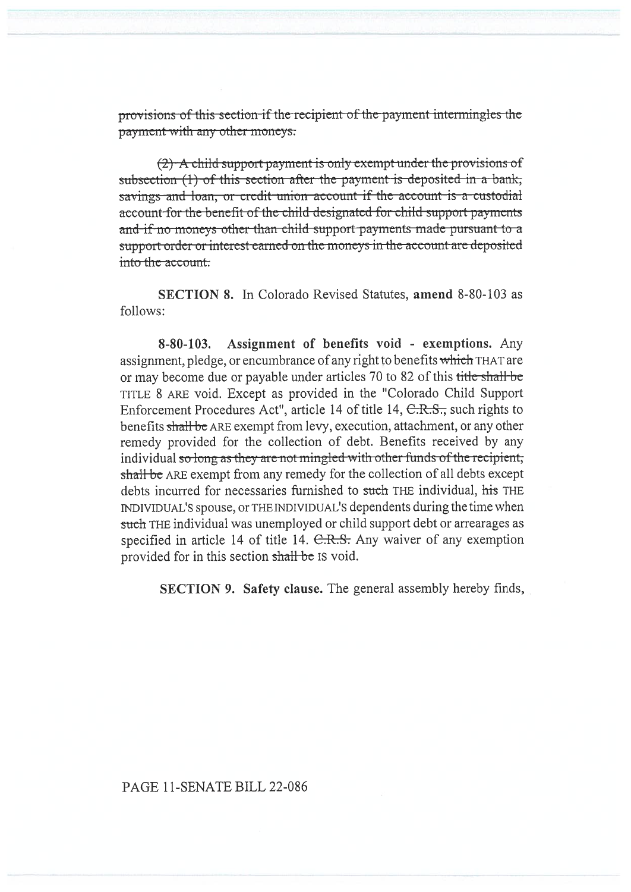provisions of this section if the recipient of the payment intermingles the payment-with-any-other moneys:

 $(2)$  A child support payment is only exempt under the provisions of subsection  $(1)$  of this section after the payment is deposited in a bank, savings and loan, or credit union account if the account is a custodial account for the benefit of the child designated for child support payments and if no moneys other than child support payments made pursuant to a support order or interest earned on the moncys in the account arc deposited into the account.

SECTION 8. In Colorado Revised Statutes, amend 8-80-103 as follows:

8-80-103. Assignment of benefits void - exemptions. Any assignment, pledge, or encumbrance of any right to benefits which THAT are or may become due or payable under articles 70 to 82 of this title shall be TITLE 8 ARE void. Except as provided in the "Colorado Child Support Enforcement Procedures Act", article 14 of title 14, C.R.S., such rights to benefits shall be ARE exempt from levy, execution, attachment, or any other remedy provided for the collection of debt. Benefits received by any individual so long as they are not mingled with other funds of the recipient; shall be ARE exempt from any remedy for the collection of all debts except debts incurred for necessaries furnished to such THE individual, his THE INDIVIDUAL'S spouse, or THE INDIVIDUAL'S dependents during the time when such THE individual was unemployed or child support debt or arrearages as specified in article 14 of title 14. C.R.S. Any waiver of any exemption provided for in this section shall be IS void.

SECTION 9. Safety clause. The general assembly hereby finds,

## PAGE 11-SENATE BILL 22-086